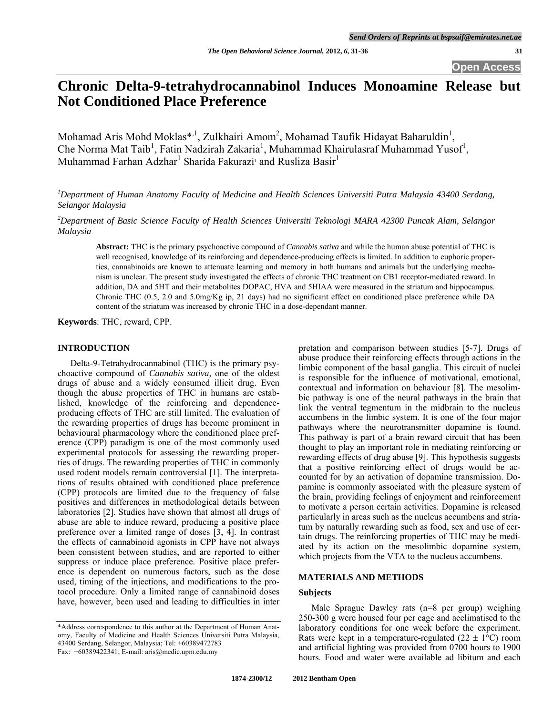# **Chronic Delta-9-tetrahydrocannabinol Induces Monoamine Release but Not Conditioned Place Preference**

Mohamad Aris Mohd Moklas\*,<sup>1</sup>, Zulkhairi Amom<sup>2</sup>, Mohamad Taufik Hidayat Baharuldin<sup>1</sup>, Che Norma Mat Taib<sup>1</sup>, Fatin Nadzirah Zakaria<sup>1</sup>, Muhammad Khairulasraf Muhammad Yusof<sup>1</sup>, Muhammad Farhan Adzhar $^1$  Sharida Fakurazi<sup>1</sup> and Rusliza Basir $^1$ 

<sup>1</sup>Department of Human Anatomy Faculty of Medicine and Health Sciences Universiti Putra Malaysia 43400 Serdang, *Selangor Malaysia* 

*2 Department of Basic Science Faculty of Health Sciences Universiti Teknologi MARA 42300 Puncak Alam, Selangor Malaysia* 

**Abstract:** THC is the primary psychoactive compound of *Cannabis sativa* and while the human abuse potential of THC is well recognised, knowledge of its reinforcing and dependence-producing effects is limited. In addition to euphoric properties, cannabinoids are known to attenuate learning and memory in both humans and animals but the underlying mechanism is unclear. The present study investigated the effects of chronic THC treatment on CB1 receptor-mediated reward. In addition, DA and 5HT and their metabolites DOPAC, HVA and 5HIAA were measured in the striatum and hippocampus. Chronic THC (0.5, 2.0 and 5.0mg/Kg ip, 21 days) had no significant effect on conditioned place preference while DA content of the striatum was increased by chronic THC in a dose-dependant manner.

**Keywords**: THC, reward, CPP.

## **INTRODUCTION**

 Delta-9-Tetrahydrocannabinol (THC) is the primary psychoactive compound of *Cannabis sativa,* one of the oldest drugs of abuse and a widely consumed illicit drug. Even though the abuse properties of THC in humans are established, knowledge of the reinforcing and dependenceproducing effects of THC are still limited. The evaluation of the rewarding properties of drugs has become prominent in behavioural pharmacology where the conditioned place preference (CPP) paradigm is one of the most commonly used experimental protocols for assessing the rewarding properties of drugs. The rewarding properties of THC in commonly used rodent models remain controversial [1]. The interpretations of results obtained with conditioned place preference (CPP) protocols are limited due to the frequency of false positives and differences in methodological details between laboratories [2]. Studies have shown that almost all drugs of abuse are able to induce reward, producing a positive place preference over a limited range of doses [3, 4]. In contrast the effects of cannabinoid agonists in CPP have not always been consistent between studies, and are reported to either suppress or induce place preference. Positive place preference is dependent on numerous factors, such as the dose used, timing of the injections, and modifications to the protocol procedure. Only a limited range of cannabinoid doses have, however, been used and leading to difficulties in inter pretation and comparison between studies [5-7]. Drugs of abuse produce their reinforcing effects through actions in the limbic component of the basal ganglia. This circuit of nuclei is responsible for the influence of motivational, emotional, contextual and information on behaviour [8]. The mesolimbic pathway is one of the neural pathways in the brain that link the ventral tegmentum in the midbrain to the nucleus accumbens in the limbic system. It is one of the four major pathways where the neurotransmitter dopamine is found. This pathway is part of a brain reward circuit that has been thought to play an important role in mediating reinforcing or rewarding effects of drug abuse [9]. This hypothesis suggests that a positive reinforcing effect of drugs would be accounted for by an activation of dopamine transmission. Dopamine is commonly associated with the pleasure system of the brain, providing feelings of enjoyment and reinforcement to motivate a person certain activities. Dopamine is released particularly in areas such as the nucleus accumbens and striatum by naturally rewarding such as food, sex and use of certain drugs. The reinforcing properties of THC may be mediated by its action on the mesolimbic dopamine system, which projects from the VTA to the nucleus accumbens.

## **MATERIALS AND METHODS**

## **Subjects**

 Male Sprague Dawley rats (n=8 per group) weighing 250-300 g were housed four per cage and acclimatised to the laboratory conditions for one week before the experiment. Rats were kept in a temperature-regulated  $(22 \pm 1^{\circ}C)$  room and artificial lighting was provided from 0700 hours to 1900 hours. Food and water were available ad libitum and each

<sup>\*</sup>Address correspondence to this author at the Department of Human Anatomy, Faculty of Medicine and Health Sciences Universiti Putra Malaysia, 43400 Serdang, Selangor, Malaysia; Tel: +60389472783 Fax: +60389422341; E-mail: aris@medic.upm.edu.my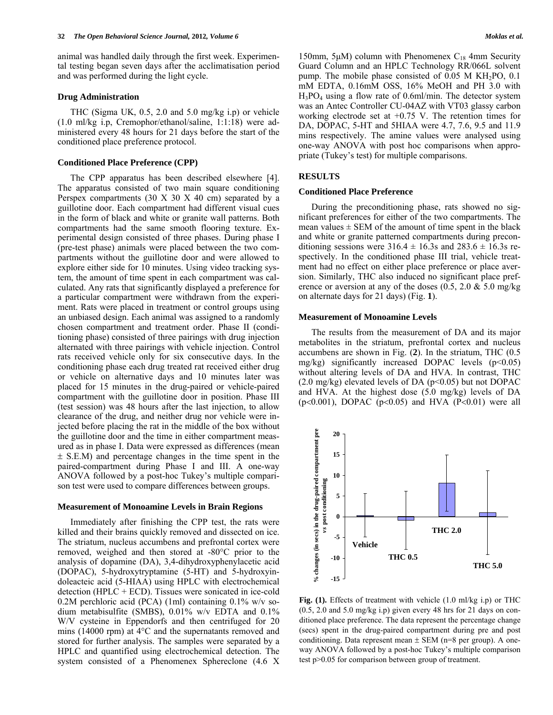animal was handled daily through the first week. Experimental testing began seven days after the acclimatisation period and was performed during the light cycle.

## **Drug Administration**

 THC (Sigma UK, 0.5, 2.0 and 5.0 mg/kg i.p) or vehicle (1.0 ml/kg i.p, Cremophor/ethanol/saline, 1:1:18) were administered every 48 hours for 21 days before the start of the conditioned place preference protocol.

### **Conditioned Place Preference (CPP)**

 The CPP apparatus has been described elsewhere [4]. The apparatus consisted of two main square conditioning Perspex compartments  $(30 \times 30 \times 40)$  cm separated by a guillotine door. Each compartment had different visual cues in the form of black and white or granite wall patterns. Both compartments had the same smooth flooring texture. Experimental design consisted of three phases. During phase I (pre-test phase) animals were placed between the two compartments without the guillotine door and were allowed to explore either side for 10 minutes. Using video tracking system, the amount of time spent in each compartment was calculated. Any rats that significantly displayed a preference for a particular compartment were withdrawn from the experiment. Rats were placed in treatment or control groups using an unbiased design. Each animal was assigned to a randomly chosen compartment and treatment order. Phase II (conditioning phase) consisted of three pairings with drug injection alternated with three pairings with vehicle injection. Control rats received vehicle only for six consecutive days. In the conditioning phase each drug treated rat received either drug or vehicle on alternative days and 10 minutes later was placed for 15 minutes in the drug-paired or vehicle-paired compartment with the guillotine door in position. Phase III (test session) was 48 hours after the last injection, to allow clearance of the drug, and neither drug nor vehicle were injected before placing the rat in the middle of the box without the guillotine door and the time in either compartment measured as in phase I. Data were expressed as differences (mean  $\pm$  S.E.M) and percentage changes in the time spent in the paired-compartment during Phase I and III. A one-way ANOVA followed by a post-hoc Tukey's multiple comparison test were used to compare differences between groups.

#### **Measurement of Monoamine Levels in Brain Regions**

 Immediately after finishing the CPP test, the rats were killed and their brains quickly removed and dissected on ice. The striatum, nucleus accumbens and prefrontal cortex were removed, weighed and then stored at -80°C prior to the analysis of dopamine (DA), 3,4-dihydroxyphenylacetic acid (DOPAC), 5-hydroxytryptamine (5-HT) and 5-hydroxyindoleacteic acid (5-HIAA) using HPLC with electrochemical detection (HPLC + ECD). Tissues were sonicated in ice-cold 0.2M perchloric acid (PCA) (1ml) containing 0.1% w/v sodium metabisulfite (SMBS), 0.01% w/v EDTA and 0.1% W/V cysteine in Eppendorfs and then centrifuged for 20 mins (14000 rpm) at 4°C and the supernatants removed and stored for further analysis. The samples were separated by a HPLC and quantified using electrochemical detection. The system consisted of a Phenomenex Sphereclone (4.6 X 150mm, 5μM) column with Phenomenex  $C_{18}$  4mm Security Guard Column and an HPLC Technology RR/066L solvent pump. The mobile phase consisted of  $0.05$  M KH<sub>2</sub>PO,  $0.1$ mM EDTA, 0.16mM OSS, 16% MeOH and PH 3.0 with H3PO4 using a flow rate of 0.6ml/min. The detector system was an Antec Controller CU-04AZ with VT03 glassy carbon working electrode set at +0.75 V. The retention times for DA, DOPAC, 5-HT and 5HIAA were 4.7, 7.6, 9.5 and 11.9 mins respectively. The amine values were analysed using one-way ANOVA with post hoc comparisons when appropriate (Tukey's test) for multiple comparisons.

#### **RESULTS**

## **Conditioned Place Preference**

 During the preconditioning phase, rats showed no significant preferences for either of the two compartments. The mean values  $\pm$  SEM of the amount of time spent in the black and white or granite patterned compartments during preconditioning sessions were  $316.4 \pm 16.3$  and  $283.6 \pm 16.3$  s respectively. In the conditioned phase III trial, vehicle treatment had no effect on either place preference or place aversion. Similarly, THC also induced no significant place preference or aversion at any of the doses  $(0.5, 2.0 \& 5.0 \text{ mg/kg})$ on alternate days for 21 days) (Fig. **1**).

## **Measurement of Monoamine Levels**

 The results from the measurement of DA and its major metabolites in the striatum, prefrontal cortex and nucleus accumbens are shown in Fig. (**2**). In the striatum, THC (0.5 mg/kg) significantly increased DOPAC levels  $(p<0.05)$ without altering levels of DA and HVA. In contrast, THC  $(2.0 \text{ mg/kg})$  elevated levels of DA  $(p<0.05)$  but not DOPAC and HVA. At the highest dose (5.0 mg/kg) levels of DA ( $p<0.001$ ), DOPAC ( $p<0.05$ ) and HVA ( $P<0.01$ ) were all



**Fig. (1).** Effects of treatment with vehicle (1.0 ml/kg i.p) or THC (0.5, 2.0 and 5.0 mg/kg i.p) given every 48 hrs for 21 days on conditioned place preference. The data represent the percentage change (secs) spent in the drug-paired compartment during pre and post conditioning. Data represent mean  $\pm$  SEM (n=8 per group). A oneway ANOVA followed by a post-hoc Tukey's multiple comparison test p>0.05 for comparison between group of treatment.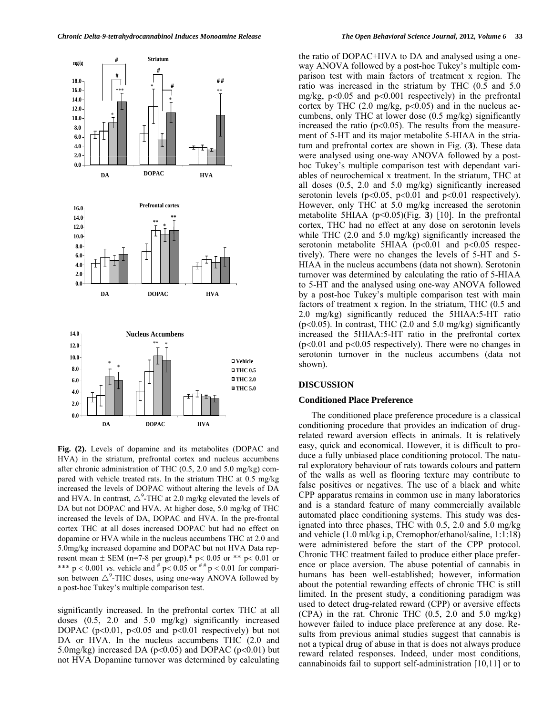

**Fig. (2).** Levels of dopamine and its metabolites (DOPAC and HVA) in the striatum, prefrontal cortex and nucleus accumbens after chronic administration of THC (0.5, 2.0 and 5.0 mg/kg) compared with vehicle treated rats. In the striatum THC at 0.5 mg/kg increased the levels of DOPAC without altering the levels of DA and HVA. In contrast,  $\triangle^9$ -THC at 2.0 mg/kg elevated the levels of DA but not DOPAC and HVA. At higher dose, 5.0 mg/kg of THC increased the levels of DA, DOPAC and HVA. In the pre-frontal cortex THC at all doses increased DOPAC but had no effect on dopamine or HVA while in the nucleus accumbens THC at 2.0 and 5.0mg/kg increased dopamine and DOPAC but not HVA Data represent mean  $\pm$  SEM (n=7-8 per group).\* p< 0.05 or \*\* p< 0.01 or \*\*\*  $p < 0.001$  *vs.* vehicle and  $p < 0.05$  or  $p \neq p < 0.01$  for comparison between  $\triangle^9$ -THC doses, using one-way ANOVA followed by a post-hoc Tukey's multiple comparison test.

significantly increased. In the prefrontal cortex THC at all doses (0.5, 2.0 and 5.0 mg/kg) significantly increased DOPAC ( $p<0.01$ ,  $p<0.05$  and  $p<0.01$  respectively) but not DA or HVA. In the nucleus accumbens THC  $(2.0 \text{ and }$ 5.0mg/kg) increased DA ( $p<0.05$ ) and DOPAC ( $p<0.01$ ) but not HVA Dopamine turnover was determined by calculating

the ratio of DOPAC+HVA to DA and analysed using a oneway ANOVA followed by a post-hoc Tukey's multiple comparison test with main factors of treatment x region. The ratio was increased in the striatum by THC (0.5 and 5.0 mg/kg,  $p<0.05$  and  $p<0.001$  respectively) in the prefrontal cortex by THC  $(2.0 \text{ mg/kg}, \text{p}<0.05)$  and in the nucleus accumbens, only THC at lower dose (0.5 mg/kg) significantly increased the ratio ( $p<0.05$ ). The results from the measurement of 5-HT and its major metabolite 5-HIAA in the striatum and prefrontal cortex are shown in Fig. (**3**). These data were analysed using one-way ANOVA followed by a posthoc Tukey's multiple comparison test with dependant variables of neurochemical x treatment. In the striatum, THC at all doses (0.5, 2.0 and 5.0 mg/kg) significantly increased serotonin levels ( $p<0.05$ ,  $p<0.01$  and  $p<0.01$  respectively). However, only THC at 5.0 mg/kg increased the serotonin metabolite 5HIAA (p<0.05)(Fig. **3**) [10]. In the prefrontal cortex, THC had no effect at any dose on serotonin levels while THC (2.0 and 5.0 mg/kg) significantly increased the serotonin metabolite 5HIAA ( $p<0.01$  and  $p<0.05$  respectively). There were no changes the levels of 5-HT and 5- HIAA in the nucleus accumbens (data not shown). Serotonin turnover was determined by calculating the ratio of 5-HIAA to 5-HT and the analysed using one-way ANOVA followed by a post-hoc Tukey's multiple comparison test with main factors of treatment x region. In the striatum, THC (0.5 and 2.0 mg/kg) significantly reduced the 5HIAA:5-HT ratio ( $p<0.05$ ). In contrast, THC (2.0 and 5.0 mg/kg) significantly increased the 5HIAA:5-HT ratio in the prefrontal cortex  $(p<0.01$  and  $p<0.05$  respectively). There were no changes in serotonin turnover in the nucleus accumbens (data not shown).

#### **DISCUSSION**

#### **Conditioned Place Preference**

 The conditioned place preference procedure is a classical conditioning procedure that provides an indication of drugrelated reward aversion effects in animals. It is relatively easy, quick and economical. However, it is difficult to produce a fully unbiased place conditioning protocol. The natural exploratory behaviour of rats towards colours and pattern of the walls as well as flooring texture may contribute to false positives or negatives. The use of a black and white CPP apparatus remains in common use in many laboratories and is a standard feature of many commercially available automated place conditioning systems. This study was designated into three phases, THC with 0.5, 2.0 and 5.0 mg/kg and vehicle (1.0 ml/kg i.p, Cremophor/ethanol/saline, 1:1:18) were administered before the start of the CPP protocol. Chronic THC treatment failed to produce either place preference or place aversion. The abuse potential of cannabis in humans has been well-established; however, information about the potential rewarding effects of chronic THC is still limited. In the present study, a conditioning paradigm was used to detect drug-related reward (CPP) or aversive effects  $(CPA)$  in the rat. Chronic THC  $(0.5, 2.0, \text{and } 5.0, \text{mg/kg})$ however failed to induce place preference at any dose. Results from previous animal studies suggest that cannabis is not a typical drug of abuse in that is does not always produce reward related responses. Indeed, under most conditions, cannabinoids fail to support self-administration [10,11] or to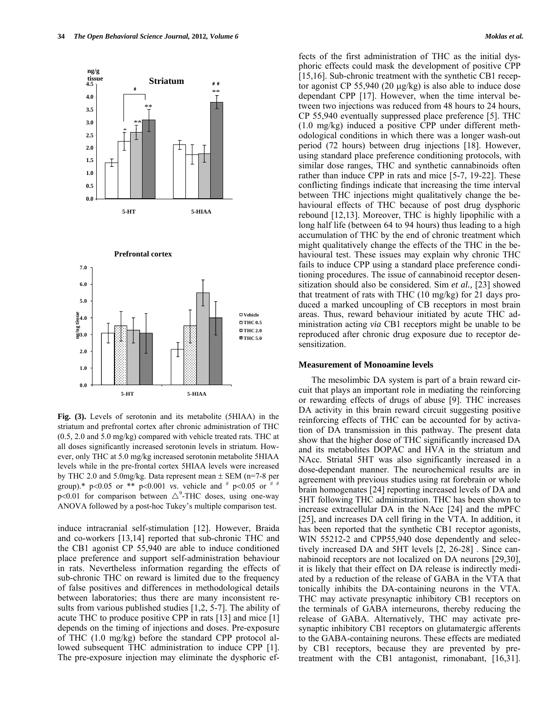

**Fig. (3).** Levels of serotonin and its metabolite (5HIAA) in the striatum and prefrontal cortex after chronic administration of THC (0.5, 2.0 and 5.0 mg/kg) compared with vehicle treated rats. THC at all doses significantly increased serotonin levels in striatum. However, only THC at 5.0 mg/kg increased serotonin metabolite 5HIAA levels while in the pre-frontal cortex 5HIAA levels were increased by THC 2.0 and 5.0mg/kg. Data represent mean  $\pm$  SEM (n=7-8 per group).\*  $p<0.05$  or \*\*  $p<0.001$  *vs.* vehicle and  $p<0.05$  or  $p \neq p$ p<0.01 for comparison between  $\triangle^9$ -THC doses, using one-way ANOVA followed by a post-hoc Tukey's multiple comparison test.

induce intracranial self-stimulation [12]. However, Braida and co-workers [13,14] reported that sub-chronic THC and the CB1 agonist CP 55,940 are able to induce conditioned place preference and support self-administration behaviour in rats. Nevertheless information regarding the effects of sub-chronic THC on reward is limited due to the frequency of false positives and differences in methodological details between laboratories; thus there are many inconsistent results from various published studies [1,2, 5-7]. The ability of acute THC to produce positive CPP in rats [13] and mice [1] depends on the timing of injections and doses. Pre-exposure of THC (1.0 mg/kg) before the standard CPP protocol allowed subsequent THC administration to induce CPP [1]. The pre-exposure injection may eliminate the dysphoric effects of the first administration of THC as the initial dysphoric effects could mask the development of positive CPP [15,16]. Sub-chronic treatment with the synthetic CB1 receptor agonist CP 55,940 (20  $\mu$ g/kg) is also able to induce dose dependant CPP [17]. However, when the time interval between two injections was reduced from 48 hours to 24 hours, CP 55,940 eventually suppressed place preference [5]. THC (1.0 mg/kg) induced a positive CPP under different methodological conditions in which there was a longer wash-out period (72 hours) between drug injections [18]. However, using standard place preference conditioning protocols, with similar dose ranges, THC and synthetic cannabinoids often rather than induce CPP in rats and mice [5-7, 19-22]. These conflicting findings indicate that increasing the time interval between THC injections might qualitatively change the behavioural effects of THC because of post drug dysphoric rebound [12,13]. Moreover, THC is highly lipophilic with a long half life (between 64 to 94 hours) thus leading to a high accumulation of THC by the end of chronic treatment which might qualitatively change the effects of the THC in the behavioural test. These issues may explain why chronic THC fails to induce CPP using a standard place preference conditioning procedures. The issue of cannabinoid receptor desensitization should also be considered. Sim *et al.,* [23] showed that treatment of rats with THC (10 mg/kg) for 21 days produced a marked uncoupling of CB receptors in most brain areas. Thus, reward behaviour initiated by acute THC administration acting *via* CB1 receptors might be unable to be reproduced after chronic drug exposure due to receptor desensitization.

#### **Measurement of Monoamine levels**

The mesolimbic DA system is part of a brain reward circuit that plays an important role in mediating the reinforcing or rewarding effects of drugs of abuse [9]. THC increases DA activity in this brain reward circuit suggesting positive reinforcing effects of THC can be accounted for by activation of DA transmission in this pathway. The present data show that the higher dose of THC significantly increased DA and its metabolites DOPAC and HVA in the striatum and NAcc. Striatal 5HT was also significantly increased in a dose-dependant manner. The neurochemical results are in agreement with previous studies using rat forebrain or whole brain homogenates [24] reporting increased levels of DA and 5HT following THC administration. THC has been shown to increase extracellular DA in the NAcc [24] and the mPFC [25], and increases DA cell firing in the VTA. In addition, it has been reported that the synthetic CB1 receptor agonists, WIN 55212-2 and CPP55,940 dose dependently and selectively increased DA and 5HT levels [2, 26-28] . Since cannabinoid receptors are not localized on DA neurons [29,30], it is likely that their effect on DA release is indirectly mediated by a reduction of the release of GABA in the VTA that tonically inhibits the DA-containing neurons in the VTA. THC may activate presynaptic inhibitory CB1 receptors on the terminals of GABA interneurons, thereby reducing the release of GABA. Alternatively, THC may activate presynaptic inhibitory CB1 receptors on glutamatergic afferents to the GABA-containing neurons. These effects are mediated by CB1 receptors, because they are prevented by pretreatment with the CB1 antagonist, rimonabant, [16,31].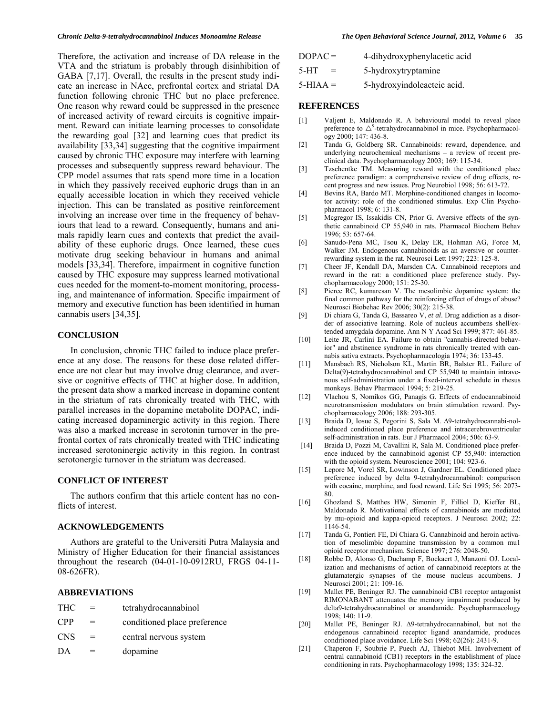Therefore, the activation and increase of DA release in the VTA and the striatum is probably through disinhibition of GABA [7,17]. Overall, the results in the present study indicate an increase in NAcc, prefrontal cortex and striatal DA function following chronic THC but no place preference. One reason why reward could be suppressed in the presence of increased activity of reward circuits is cognitive impairment. Reward can initiate learning processes to consolidate the rewarding goal [32] and learning cues that predict its availability [33,34] suggesting that the cognitive impairment caused by chronic THC exposure may interfere with learning processes and subsequently suppress reward behaviour. The CPP model assumes that rats spend more time in a location in which they passively received euphoric drugs than in an equally accessible location in which they received vehicle injection. This can be translated as positive reinforcement involving an increase over time in the frequency of behaviours that lead to a reward. Consequently, humans and animals rapidly learn cues and contexts that predict the availability of these euphoric drugs. Once learned, these cues motivate drug seeking behaviour in humans and animal models [33,34]. Therefore, impairment in cognitive function caused by THC exposure may suppress learned motivational cues needed for the moment-to-moment monitoring, processing, and maintenance of information. Specific impairment of memory and executive function has been identified in human cannabis users [34,35].

## **CONCLUSION**

 In conclusion, chronic THC failed to induce place preference at any dose. The reasons for these dose related difference are not clear but may involve drug clearance, and aversive or cognitive effects of THC at higher dose. In addition, the present data show a marked increase in dopamine content in the striatum of rats chronically treated with THC, with parallel increases in the dopamine metabolite DOPAC, indicating increased dopaminergic activity in this region. There was also a marked increase in serotonin turnover in the prefrontal cortex of rats chronically treated with THC indicating increased serotoninergic activity in this region. In contrast serotonergic turnover in the striatum was decreased.

## **CONFLICT OF INTEREST**

 The authors confirm that this article content has no conflicts of interest.

## **ACKNOWLEDGEMENTS**

 Authors are grateful to the Universiti Putra Malaysia and Ministry of Higher Education for their financial assistances throughout the research (04-01-10-0912RU, FRGS 04-11- 08-626FR).

## **ABBREVIATIONS**

| <b>THC</b> | $=$ | tetrahydrocannabinol         |
|------------|-----|------------------------------|
| <b>CPP</b> | $=$ | conditioned place preference |
| <b>CNS</b> | $=$ | central nervous system       |
| DA         |     | dopamine                     |

| $DOPAC =$ | 4-dihydroxyphenylacetic acid |
|-----------|------------------------------|
| $5-HT$    | 5-hydroxytryptamine          |

# 5-HIAA = 5-hydroxyindoleacteic acid.

## **REFERENCES**

- [1] Valjent E, Maldonado R. A behavioural model to reveal place preference to  $\triangle^9$ -tetrahydrocannabinol in mice. Psychopharmacology 2000; 147: 436-8.
- [2] Tanda G, Goldberg SR. Cannabinoids: reward, dependence, and underlying neurochemical mechanisms – a review of recent preclinical data. Psychopharmacology 2003; 169: 115-34.
- [3] Tzschentke TM. Measuring reward with the conditioned place preference paradigm: a comprehensive review of drug effects, recent progress and new issues. Prog Neurobiol 1998; 56: 613-72.
- [4] Bevins RA, Bardo MT. Morphine-conditioned changes in locomotor activity: role of the conditioned stimulus. Exp Clin Psychopharmacol 1998; 6: 131-8.
- [5] Mcgregor IS, Issakidis CN, Prior G. Aversive effects of the synthetic cannabinoid CP 55,940 in rats. Pharmacol Biochem Behav 1996; 53: 657-64.
- [6] Sanudo-Pena MC, Tsou K, Delay ER, Hohman AG, Force M, Walker JM. Endogenous cannabinoids as an aversive or counterrewarding system in the rat. Neurosci Lett 1997; 223: 125-8.
- [7] Cheer JF, Kendall DA, Marsden CA. Cannabinoid receptors and reward in the rat: a conditioned place preference study. Psychopharmacology 2000; 151: 25-30.
- [8] Pierce RC, kumaresan V. The mesolimbic dopamine system: the final common pathway for the reinforcing effect of drugs of abuse? Neurosci Biobehac Rev 2006; 30(2): 215-38.
- [9] Di chiara G, Tanda G, Bassareo V, *et al*. Drug addiction as a disorder of associative learning. Role of nucleus accumbens shell/extended amygdala dopamine. Ann N Y Acad Sci 1999; 877: 461-85.
- [10] Leite JR, Carlini EA. Failure to obtain "cannabis-directed behavior" and abstinence syndrome in rats chronically treated with cannabis sativa extracts. Psychopharmacologia 1974; 36: 133-45.
- [11] Mansbach RS, Nicholson KL, Martin BR, Balster RL. Failure of Delta(9)-tetrahydrocannabinol and CP 55,940 to maintain intravenous self-administration under a fixed-interval schedule in rhesus monkeys. Behav Pharmacol 1994; 5: 219-25.
- [12] Vlachou S, Nomikos GG, Panagis G. Effects of endocannabinoid neurotransmission modulators on brain stimulation reward. Psychopharmacology 2006; 188: 293-305.
- [13] Braida D, Iosue S, Pegorini S, Sala M.  $\Delta$ 9-tetrahydrocannabi-nolinduced conditioned place preference and intracerebroventricular self-administration in rats. Eur J Pharmacol 2004; 506: 63-9.
- [14] Braida D, Pozzi M, Cavallini R, Sala M. Conditioned place preference induced by the cannabinoid agonist CP 55,940: interaction with the opioid system. Neuroscience 2001; 104: 923-6.
- [15] Lepore M, Vorel SR, Lowinson J, Gardner EL. Conditioned place preference induced by delta 9-tetrahydrocannabinol: comparison with cocaine, morphine, and food reward. Life Sci 1995; 56: 2073-80.
- [16] Ghozland S, Matthes HW, Simonin F, Filliol D, Kieffer BL, Maldonado R. Motivational effects of cannabinoids are mediated by mu-opioid and kappa-opioid receptors. J Neurosci 2002; 22: 1146-54.
- [17] Tanda G, Pontieri FE, Di Chiara G. Cannabinoid and heroin activation of mesolimbic dopamine transmission by a common mu1 opioid receptor mechanism. Science 1997; 276: 2048-50.
- [18] Robbe D, Alonso G, Duchamp F, Bockaert J, Manzoni OJ. Localization and mechanisms of action of cannabinoid receptors at the glutamatergic synapses of the mouse nucleus accumbens. J Neurosci 2001; 21: 109-16.
- [19] Mallet PE, Beninger RJ. The cannabinoid CB1 receptor antagonist RIMONABANT attenuates the memory impairment produced by delta9-tetrahydrocannabinol or anandamide. Psychopharmacology 1998; 140: 11-9.
- [20] Mallet PE, Beninger RJ.  $\Delta$ 9-tetrahydrocannabinol, but not the endogenous cannabinoid receptor ligand anandamide, produces conditioned place avoidance. Life Sci 1998; 62(26): 2431-9.
- [21] Chaperon F, Soubrie P, Puech AJ, Thiebot MH. Involvement of central cannabinoid (CB1) receptors in the establishment of place conditioning in rats. Psychopharmacology 1998; 135: 324-32.